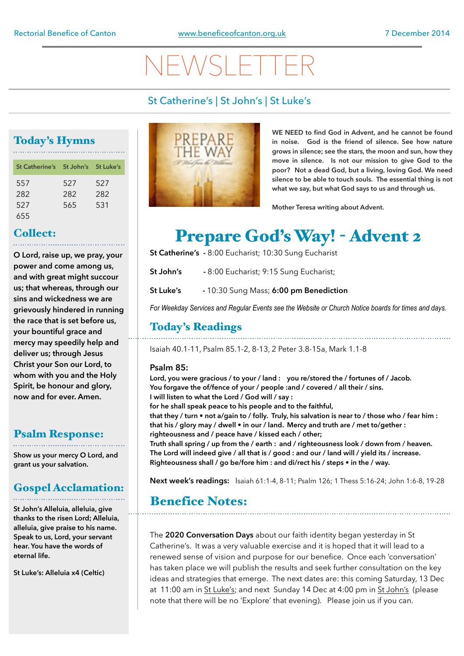# NEWSLETTER

# St Catherine's | St John's | St Luke's

# Today's Hymns

| St Catherine's St John's St Luke's |     |     |
|------------------------------------|-----|-----|
| 557                                | 527 | 527 |
| 282                                | 282 | 282 |
| 527                                | 565 | 531 |
| 655                                |     |     |

# Collect:

**O Lord, raise up, we pray, your power and come among us, and with great might succour us; that whereas, through our sins and wickedness we are grievously hindered in running the race that is set before us, your bountiful grace and mercy may speedily help and deliver us; through Jesus Christ your Son our Lord, to whom with you and the Holy Spirit, be honour and glory, now and for ever. Amen.**

### Psalm Response:

**Show us your mercy O Lord, and grant us your salvation.** 

# Gospel Acclamation:

**St John's Alleluia, alleluia, give thanks to the risen Lord; Alleluia, alleluia, give praise to his name. Speak to us, Lord, your servant hear. You have the words of eternal life.** 

**St Luke's: Alleluia x4 (Celtic)**



**WE NEED to find God in Advent, and he cannot be found in noise. God is the friend of silence. See how nature grows in silence; see the stars, the moon and sun, how they move in silence. Is not our mission to give God to the poor? Not a dead God, but a living, loving God. We need silence to be able to touch souls. The essential thing is not what we say, but what God says to us and through us.** 

**Mother Teresa writing about Advent.** 

# Prepare God's Way! - Advent 2

**St Catherine's -** 8:00 Eucharist; 10:30 Sung Eucharist

| St John's | - 8:00 Eucharist; 9:15 Sung Eucharist; |
|-----------|----------------------------------------|
|-----------|----------------------------------------|

**St Luke's -** 10:30 Sung Mass; **6:00 pm Benediction**

*For Weekday Services and Regular Events see the Website or Church Notice boards for times and days.*

# Today's Readings

Isaiah 40.1-11, Psalm 85.1-2, 8-13, 2 Peter 3.8-15a, Mark 1.1-8

### **Psalm 85:**

**Lord, you were gracious / to your / land : you re/stored the / fortunes of / Jacob. You forgave the of/fence of your / people :and / covered / all their / sins. I will listen to what the Lord / God will / say : for he shall speak peace to his people and to the faithful, that they / turn • not a/gain to / folly. Truly, his salvation is near to / those who / fear him : that his / glory may / dwell • in our / land. Mercy and truth are / met to/gether : righteousness and / peace have / kissed each / other; Truth shall spring / up from the / earth : and / righteousness look / down from / heaven. The Lord will indeed give / all that is / good : and our / land will / yield its / increase. Righteousness shall / go be/fore him : and di/rect his / steps • in the / way.**

**Next week's readings:** Isaiah 61:1-4, 8-11; Psalm 126; 1 Thess 5:16-24; John 1:6-8, 19-28

# Benefice Notes:

The **2020 Conversation Days** about our faith identity began yesterday in St Catherine's. It was a very valuable exercise and it is hoped that it will lead to a renewed sense of vision and purpose for our benefice. Once each 'conversation' has taken place we will publish the results and seek further consultation on the key ideas and strategies that emerge. The next dates are: this coming Saturday, 13 Dec at 11:00 am in St Luke's; and next Sunday 14 Dec at 4:00 pm in St John's (please note that there will be no 'Explore' that evening). Please join us if you can.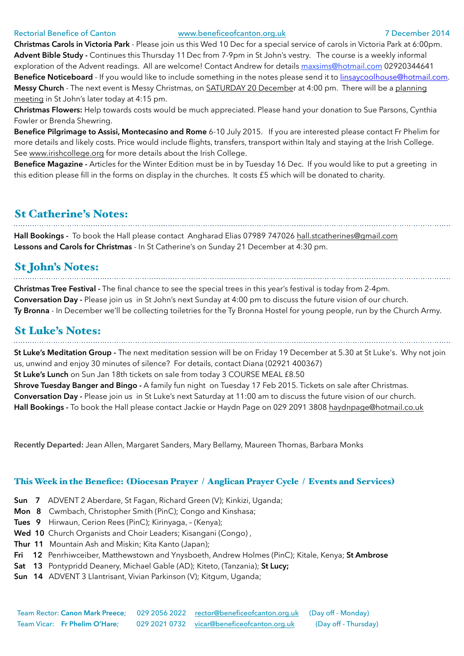### Rectorial Benefice of Canton [www.beneficeofcanton.org.uk](http://www.beneficeofcanton.org.uk) 7 December 2014

**Christmas Carols in Victoria Park** - Please join us this Wed 10 Dec for a special service of carols in Victoria Park at 6:00pm. **Advent Bible Study -** Continues this Thursday 11Dec from 7-9pm in St John's vestry. The course is a weekly informal exploration of the Advent readings. All are welcome! Contact Andrew for details [maxsims@hotmail.com](mailto:maxsims@hotmail.com) 02920344641 **Benefice Noticeboard** - If you would like to include something in the notes please send it to [linsaycoolhouse@hotmail.com](mailto:linsaycoolhouse@hotmail.com). **Messy Church** - The next event is Messy Christmas, on SATURDAY 20 December at 4:00 pm. There will be a planning meeting in St John's later today at 4:15 pm.

**Christmas Flowers:** Help towards costs would be much appreciated. Please hand your donation to Sue Parsons, Cynthia Fowler or Brenda Shewring.

**Benefice Pilgrimage to Assisi, Montecasino and Rome** 6-10 July 2015. If you are interested please contact Fr Phelim for more details and likely costs. Price would include flights, transfers, transport within Italy and staying at the Irish College. See [www.irishcollege.org](http://www.irishcollege.org) for more details about the Irish College.

**Benefice Magazine -** Articles for the Winter Edition must be in by Tuesday 16 Dec. If you would like to put a greeting in this edition please fill in the forms on display in the churches. It costs £5 which will be donated to charity.

# St Catherine's Notes:

**Hall Bookings -** To book the Hall please contact Angharad Elias 07989 747026 [hall.stcatherines@gmail.com](mailto:hall.stcatherines@gmail.com) **Lessons and Carols for Christmas** - In St Catherine's on Sunday 21 December at 4:30 pm.

# St John's Notes:

**Christmas Tree Festival -** The final chance to see the special trees in this year's festival is today from 2-4pm. **Conversation Day -** Please join us in St John's next Sunday at 4:00 pm to discuss the future vision of our church. **Ty Bronna** - In December we'll be collecting toiletries for the Ty Bronna Hostel for young people, run by the Church Army.

# St Luke's Notes:

**St Luke's Meditation Group -** The next meditation session will be on Friday 19 December at 5.30 at St Luke's. Why not join us, unwind and enjoy 30 minutes of silence? For details, contact Diana (02921 400367) **St Luke's Lunch** on Sun Jan 18th tickets on sale from today 3 COURSE MEAL £8.50 **Shrove Tuesday Banger and Bingo -** A family fun night on Tuesday 17 Feb 2015. Tickets on sale after Christmas. **Conversation Day -** Please join us in St Luke's next Saturday at 11:00 am to discuss the future vision of our church. **Hall Bookings -** To book the Hall please contact Jackie or Haydn Page on 029 2091 3808 [haydnpage@hotmail.co.uk](mailto:haydnpage@hotmail.co.uk)

**Recently Departed:** Jean Allen, Margaret Sanders, Mary Bellamy, Maureen Thomas, Barbara Monks

### This Week in the Benefice: (Diocesan Prayer / Anglican Prayer Cycle / Events and Services)

- **Sun 7** ADVENT 2 Aberdare, St Fagan, Richard Green (V): Kinkizi, Uganda;
- **Mon 8** Cwmbach, Christopher Smith (PinC); Congo and Kinshasa;
- **Tues 9** Hirwaun, Cerion Rees (PinC); Kirinyaga, (Kenya);
- **Wed 10** Church Organists and Choir Leaders; Kisangani (Congo) ,
- **Thur 11** Mountain Ash and Miskin; Kita Kanto (Japan);
- **Fri 12** Penrhiwceiber, Matthewstown and Ynysboeth, Andrew Holmes (PinC); Kitale, Kenya; **St Ambrose**
- **Sat 13** Pontypridd Deanery, Michael Gable (AD); Kiteto, (Tanzania); **St Lucy;**
- **Sun 14** ADVENT 3 Llantrisant, Vivian Parkinson (V); Kitgum, Uganda;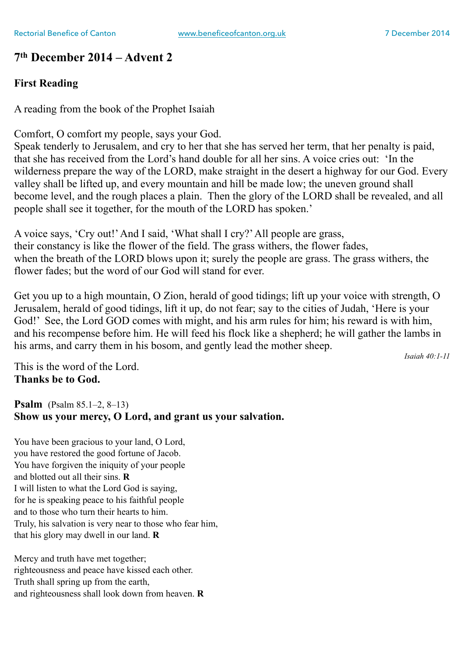# **7th December 2014 – Advent 2**

# **First Reading**

A reading from the book of the Prophet Isaiah

Comfort, O comfort my people, says your God.

Speak tenderly to Jerusalem, and cry to her that she has served her term, that her penalty is paid, that she has received from the Lord's hand double for all her sins. A voice cries out: 'In the wilderness prepare the way of the LORD, make straight in the desert a highway for our God. Every valley shall be lifted up, and every mountain and hill be made low; the uneven ground shall become level, and the rough places a plain. Then the glory of the LORD shall be revealed, and all people shall see it together, for the mouth of the LORD has spoken.'

A voice says, 'Cry out!' And I said, 'What shall I cry?' All people are grass, their constancy is like the flower of the field. The grass withers, the flower fades, when the breath of the LORD blows upon it; surely the people are grass. The grass withers, the flower fades; but the word of our God will stand for ever.

Get you up to a high mountain, O Zion, herald of good tidings; lift up your voice with strength, O Jerusalem, herald of good tidings, lift it up, do not fear; say to the cities of Judah, 'Here is your God!' See, the Lord GOD comes with might, and his arm rules for him; his reward is with him, and his recompense before him. He will feed his flock like a shepherd; he will gather the lambs in his arms, and carry them in his bosom, and gently lead the mother sheep.

*Isaiah 40:1-11*

This is the word of the Lord. **Thanks be to God.**

**Psalm** (Psalm 85.1–2, 8–13) **Show us your mercy, O Lord, and grant us your salvation.** 

You have been gracious to your land, O Lord, you have restored the good fortune of Jacob. You have forgiven the iniquity of your people and blotted out all their sins. **R** I will listen to what the Lord God is saying, for he is speaking peace to his faithful people and to those who turn their hearts to him. Truly, his salvation is very near to those who fear him, that his glory may dwell in our land. **R**

Mercy and truth have met together; righteousness and peace have kissed each other. Truth shall spring up from the earth, and righteousness shall look down from heaven. **R**